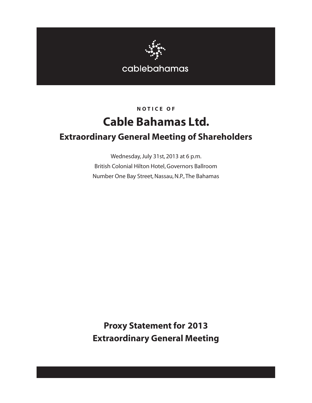

# cablebahamas

**N O T I C E O F**

# **Cable Bahamas Ltd.**

# **Extraordinary General Meeting of Shareholders**

Wednesday,July 31st, 2013 at 6 p.m. British Colonial Hilton Hotel,Governors Ballroom Number One Bay Street, Nassau, N.P., The Bahamas

**Proxy Statement for 2013 Extraordinary General Meeting**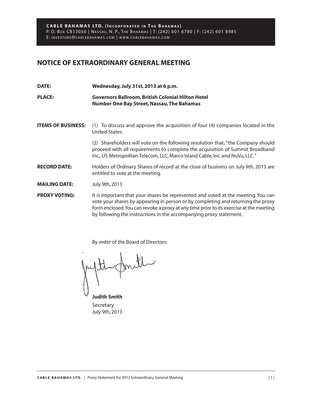# **NOTICE OF EXTRAORDINARY GENERAL MEETING**

| DATE:                     | Wednesday, July 31st, 2013 at 6 p.m.                                                                                                                                                                                                                                                                                                  |
|---------------------------|---------------------------------------------------------------------------------------------------------------------------------------------------------------------------------------------------------------------------------------------------------------------------------------------------------------------------------------|
| <b>PLACE:</b>             | <b>Governors Ballroom, British Colonial Hilton Hotel</b><br><b>Number One Bay Street, Nassau, The Bahamas</b>                                                                                                                                                                                                                         |
| <b>ITEMS OF BUSINESS:</b> | (1) To discuss and approve the acquisition of four (4) companies located in the<br>United States.                                                                                                                                                                                                                                     |
|                           | (2) Shareholders will vote on the following resolution that: "the Company should<br>proceed with all requirements to complete the acquisition of Summit Broadband<br>Inc., US Metropolitan Telecom, LLC, Marco Island Cable, Inc. and NuVu, LLC."                                                                                     |
| <b>RECORD DATE:</b>       | Holders of Ordinary Shares of record at the close of business on July 9th, 2013 are<br>entitled to vote at the meeting.                                                                                                                                                                                                               |
| <b>MAILING DATE:</b>      | July 9th, 2013                                                                                                                                                                                                                                                                                                                        |
| <b>PROXY VOTING:</b>      | It is important that your shares be represented and voted at the meeting. You can<br>vote your shares by appearing in person or by completing and returning the proxy<br>form enclosed. You can revoke a proxy at any time prior to its exercise at the meeting<br>by following the instructions in the accompanying proxy statement. |

By order of the Board of Directors:

hr.

 **Judith Smith** Secretary July 9th, 2013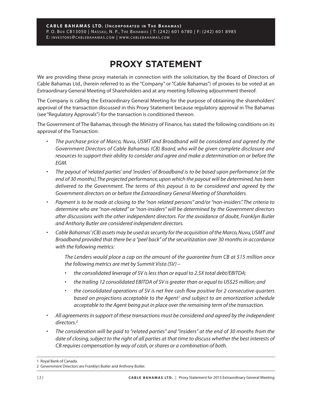# **PROXY STATEMENT**

We are providing these proxy materials in connection with the solicitation, by the Board of Directors of Cable Bahamas Ltd., (herein referred to as the "Company" or"Cable Bahamas") of proxies to be voted at an Extraordinary General Meeting of Shareholders and at any meeting following adjournment thereof.

The Company is calling the Extraordinary General Meeting for the purpose of obtaining the shareholders' approval of the transaction discussed in this Proxy Statement because regulatory approval in The Bahamas (see"Regulatory Approvals") for the transaction is conditioned thereon.

The Government of The Bahamas, through the Ministry of Finance, has stated the following conditions on its approval of the Transaction:

- *• The purchase price of Marco, Nuvu, USMT and Broadband will be considered and agreed by the Government Directors of Cable Bahamas (CB) Board, who will be given complete disclosure and resources to support their ability to consider and agree and make a determination on or before the EGM.*
- The payout of 'related parties' and 'insiders' of Broadband is to be based upon performance [at the *end of 30 months].The projected performance,upon which the payout will be determined,has been delivered to the Government. The terms of this payout is to be considered and agreed by the Government directors on or before the Extraordinary General Meeting of Shareholders.*
- *• Payment is to be made at closing to the "non related persons" and/or"non-insiders". The criteria to determine who are "non-related" or"non-insiders" will be determined by the Government directors after discussions with the other independent directors. For the avoidance of doubt, Franklyn Butler and Anthony Butler are considered independent directors.*
- *• Cable Bahamas'(CB) assets may be used assecurity forthe acquisition oftheMarco,Nuvu,USMT and Broadband provided that there be a "peel back" of the securitization over 30 months in accordance with the following metrics:*

*The Lenders would place a cap on the amount of the guarantee from CB at \$15 million once the following metrics are met by Summit Vista (SV) –*

- *• the consolidated leverage of SV islessthan or equal to 2.5X total debt/EBITDA;*
- *• the trailing 12 consolidated EBITDA of SV is greater than or equal to US\$25 million; and*
- *• the consolidated operations of SV is net free cash flow positive for 2 consecutive quarters based on projections acceptable to the Agent1 and subject to an amortization schedule acceptable to the Agent being put in place over the remaining term of the transaction.*
- *• All agreementsin support of these transactions must be considered and agreed by the independent directors. 2*
- The consideration will be paid to "related parties" and "insiders" at the end of 30 months from the date of closing, subject to the right of all parties at that time to discuss whether the best interests of *CB requires compensation by way of cash,orshares or a combination of both.*

<sup>1</sup> Royal Bank of Canada.

<sup>2</sup> Government Directors are Franklyn Butler and Anthony Butler.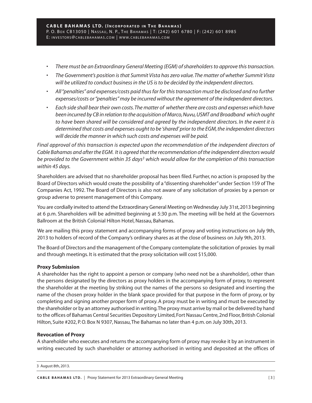- *• There must be an Extraordinary General Meeting (EGM) ofshareholdersto approve thistransaction.*
- *• The Government's position isthat Summit Vista has zero value.The matter of whether Summit Vista will be utilized to conduct businessin the US isto be decided by the independent directors.*
- *• All"penalties"and expenses/costs paid thusfar for thistransaction must be disclosed and no further expenses/costs or"penalties"may be incurred without the agreement of the independent directors.*
- Each side shall bear their own costs. The matter of whether there are costs and expenses which have *been incurred by CB in relation to the acquisition ofMarco,Nuvu,USMT and Broadband which ought to have been shared will be considered and agreed by the independent directors. In the event it is determined that costs and expenses ought to be'shared'prior to the EGM,the independent directors will decide the manner in which such costs and expenses will be paid.*

*Final approval of this transaction is expected upon the recommendation of the independent directors of Cable Bahamas and afterthe EGM. Itis agreed thatthe recommendation ofthe independent directors would be provided to the Government within 35 days3 which would allow for the completion of this transaction within 45 days.*

Shareholders are advised that no shareholder proposal has been filed. Further, no action is proposed by the Board of Directors which would create the possibility of a"dissenting shareholder"under Section 159 of The Companies Act, 1992. The Board of Directors is also not aware of any solicitation of proxies by a person or group adverse to present management of this Company.

You are cordially invited to attend the Extraordinary General Meeting on Wednesday July 31st, 2013 beginning at 6 p.m. Shareholders will be admitted beginning at 5:30 p.m. The meeting will be held at the Governors Ballroom at the British Colonial Hilton Hotel, Nassau, Bahamas.

We are mailing this proxy statement and accompanying forms of proxy and voting instructions on July 9th, 2013 to holders of record of the Company's ordinary shares as at the close of business on July 9th, 2013.

The Board of Directors and the management of the Company contemplate the solicitation of proxies by mail and through meetings. It is estimated that the proxy solicitation will cost \$15,000.

# **Proxy Submission**

A shareholder has the right to appoint a person or company (who need not be a shareholder), other than the persons designated by the directors as proxy holders in the accompanying form of proxy, to represent the shareholder at the meeting by striking out the names of the persons so designated and inserting the name of the chosen proxy holder in the blank space provided for that purpose in the form of proxy, or by completing and signing another proper form of proxy.A proxy must be in writing and must be executed by the shareholder or by an attorney authorised in writing.The proxy must arrive by mail or be delivered by hand to the offices of Bahamas Central Securities Depository Limited,Fort Nassau Centre,2nd Floor,British Colonial Hilton, Suite #202, P.O. Box N 9307, Nassau, The Bahamas no later than 4 p.m. on July 30th, 2013.

# **Revocation of Proxy**

A shareholder who executes and returns the accompanying form of proxy may revoke it by an instrument in writing executed by such shareholder or attorney authorised in writing and deposited at the offices of

#### 3 August 8th, 2013.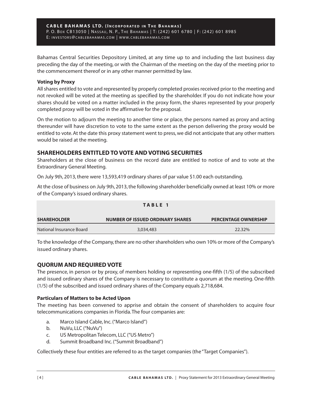**CABLE BAHAMAS LTD. (INCORPORATED IN THE BAHAMAS)** P. O. Box CB13050 | NASSAU, N. P., THE BAHAMAS | T: (242) 601 6780 | F: (242) 601 8985 E: INVESTORS@CABLEBAHAMAS.COM | WWW.CABLEBAHAMAS.COM

Bahamas Central Securities Depository Limited, at any time up to and including the last business day preceding the day of the meeting, or with the Chairman of the meeting on the day of the meeting prior to the commencement thereof or in any other manner permitted by law.

# **Voting by Proxy**

All shares entitled to vote and represented by properly completed proxies received prior to the meeting and not revoked will be voted at the meeting as specified by the shareholder. If you do not indicate how your shares should be voted on a matter included in the proxy form, the shares represented by your properly completed proxy will be voted in the affirmative for the proposal.

On the motion to adjourn the meeting to another time or place, the persons named as proxy and acting thereunder will have discretion to vote to the same extent as the person delivering the proxy would be entitled to vote.At the date this proxy statement went to press,we did not anticipate that any other matters would be raised at the meeting.

# **SHAREHOLDERS ENTITLEDTO VOTE ANDVOTING SECURITIES**

Shareholders at the close of business on the record date are entitled to notice of and to vote at the Extraordinary General Meeting.

On July 9th, 2013,there were 13,593,419 ordinary shares of par value \$1.00 each outstanding.

At the close of business on July 9th,2013,the following shareholder beneficially owned at least 10% or more of the Company's issued ordinary shares.

|                          | TABLE 1                                 |                             |
|--------------------------|-----------------------------------------|-----------------------------|
| <b>SHAREHOLDER</b>       | <b>NUMBER OF ISSUED ORDINARY SHARES</b> | <b>PERCENTAGE OWNERSHIP</b> |
| National Insurance Board | 3,034,483                               | 22.32%                      |

To the knowledge of the Company, there are no other shareholders who own 10% or more of the Company's issued ordinary shares.

# **QUORUM AND REQUIREDVOTE**

The presence, in person or by proxy, of members holding or representing one-fifth (1/5) of the subscribed and issued ordinary shares of the Company is necessary to constitute a quorum at the meeting. One-fifth (1/5) of the subscribed and issued ordinary shares of the Company equals 2,718,684.

# **Particulars of Matters to be Acted Upon**

The meeting has been convened to apprise and obtain the consent of shareholders to acquire four telecommunications companies in Florida.The four companies are:

- a. Marco Island Cable, Inc.("Marco Island")
- b. NuVu, LLC ("NuVu")
- c. US Metropolitan Telecom, LLC ("US Metro")
- d. Summit Broadband Inc.("Summit Broadband")

Collectively these four entities are referred to as the target companies (the"Target Companies").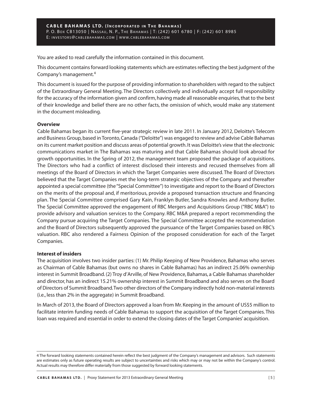You are asked to read carefully the information contained in this document.

This document contains forward looking statements which are estimates reflecting the best judgment of the Company's management. 4

This document isissued for the purpose of providing information to shareholders with regard to the subject of the Extraordinary General Meeting. The Directors collectively and individually accept full responsibility for the accuracy of the information given and confirm, having made all reasonable enquiries, that to the best of their knowledge and belief there are no other facts, the omission of which, would make any statement in the document misleading.

# **Overview**

Cable Bahamas began its current five-year strategic review in late 2011. In January 2012, Deloitte's Telecom and Business Group,based in Toronto,Canada ("Deloitte") was engaged to review and advise Cable Bahamas on its current market position and discuss areas of potential growth.It was Deloitte's view that the electronic communications market in The Bahamas was maturing and that Cable Bahamas should look abroad for growth opportunities. In the Spring of 2012, the management team proposed the package of acquisitions. The Directors who had a conflict of interest disclosed their interests and recused themselves from all meetings of the Board of Directors in which the Target Companies were discussed. The Board of Directors believed that the Target Companies met the long-term strategic objectives of the Company and thereafter appointed a special committee (the"Special Committee") to investigate and report to the Board of Directors on the merits of the proposal and, if meritorious, provide a proposed transaction structure and financing plan. The Special Committee comprised Gary Kain, Franklyn Butler, Sandra Knowles and Anthony Butler. The Special Committee approved the engagement of RBC Mergers and Acquisitions Group ("RBC M&A") to provide advisory and valuation services to the Company. RBC M&A prepared a report recommending the Company pursue acquiring the Target Companies. The Special Committee accepted the recommendation and the Board of Directors subsequently approved the pursuance of the Target Companies based on RBC's valuation. RBC also rendered a Fairness Opinion of the proposed consideration for each of the Target Companies.

#### **Interest of insiders**

The acquisition involves two insider parties: (1) Mr. Philip Keeping of New Providence, Bahamas who serves as Chairman of Cable Bahamas (but owns no shares in Cable Bahamas) has an indirect 25.06% ownership interest in Summit Broadband. (2) Troy d'Arville, of New Providence, Bahamas, a Cable Bahamas shareholder and director, has an indirect 15.21% ownership interest in Summit Broadband and also serves on the Board of Directors of Summit Broadband.Two other directors of the Company indirectly hold non-material interests (i.e., less than 2% in the aggregate) in Summit Broadband.

In March of 2013,the Board of Directors approved a loan from Mr. Keeping in the amount of US\$5 million to facilitate interim funding needs of Cable Bahamas to support the acquisition of the Target Companies. This loan was required and essential in order to extend the closing dates of the Target Companies' acquisition.

<sup>4</sup> The forward looking statements contained herein reflect the best judgment of the Company's management and advisors. Such statements are estimates only as future operating results are subject to uncertainties and risks which may or may not be within the Company's control. Actual results may therefore differ materially from those suggested by forward looking statements.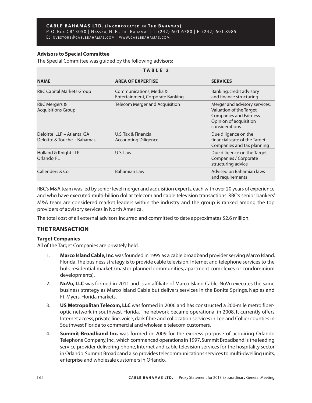# **Advisors to Special Committee**

The Special Committee was guided by the following advisors:

| TABLE <sub>2</sub>                                        |                                                             |                                                                                                                                       |  |  |  |  |
|-----------------------------------------------------------|-------------------------------------------------------------|---------------------------------------------------------------------------------------------------------------------------------------|--|--|--|--|
| <b>NAME</b>                                               | <b>AREA OF EXPERTISE</b>                                    | <b>SERVICES</b>                                                                                                                       |  |  |  |  |
| RBC Capital Markets Group                                 | Communications, Media &<br>Entertainment, Corporate Banking | Banking, credit advisory<br>and finance structuring                                                                                   |  |  |  |  |
| RBC Mergers &<br><b>Acquisitions Group</b>                | <b>Telecom Merger and Acquisition</b>                       | Merger and advisory services,<br>Valuation of the Target<br><b>Companies and Fairness</b><br>Opinion of acquisition<br>considerations |  |  |  |  |
| Deloitte LLP - Atlanta, GA<br>Deloitte & Touche - Bahamas | U.S. Tax & Financial<br><b>Accounting Diligence</b>         | Due diligence on the<br>financial state of the Target<br>Companies and tax planning                                                   |  |  |  |  |
| Holland & Knight LLP<br>Orlando, FL                       | U.S.Iaw                                                     | Due diligence on the Target<br>Companies / Corporate<br>structuring advice                                                            |  |  |  |  |
| Callenders & Co.                                          | <b>Bahamian Law</b>                                         | Advised on Bahamian laws<br>and requirements                                                                                          |  |  |  |  |

RBC's M&A team wasled by senior level merger and acquisition experts,each with over 20 years of experience and who have executed multi-billion dollar telecom and cable television transactions. RBC's senior bankers' M&A team are considered market leaders within the industry and the group is ranked among the top providers of advisory services in North America.

The total cost of all external advisors incurred and committed to date approximates \$2.6 million.

# **THE TRANSACTION**

# **Target Companies**

All of the Target Companies are privately held.

- 1. **Marco Island Cable, Inc.** was founded in 1995 as a cable broadband provider serving Marco Island, Florida.The business strategy is to provide cable television, Internet and telephone services to the bulk residential market (master-planned communities, apartment complexes or condominium developments).
- 2. **NuVu, LLC** was formed in 2011 and is an affiliate of Marco Island Cable. NuVu executes the same business strategy as Marco Island Cable but delivers services in the Bonita Springs, Naples and Ft. Myers, Florida markets.
- 3. **US Metropolitan Telecom, LLC** was formed in 2006 and has constructed a 200-mile metro fiberoptic network in southwest Florida. The network became operational in 2008. It currently offers Internet access,private line, voice,dark fibre and collocation services in Lee and Collier counties in Southwest Florida to commercial and wholesale telecom customers.
- 4. **Summit Broadband Inc.** was formed in 2009 for the express purpose of acquiring Orlando Telephone Company,Inc.,which commenced operationsin 1997.Summit Broadband isthe leading service provider delivering phone, Internet and cable television services for the hospitality sector in Orlando. Summit Broadband also provides telecommunications services to multi-dwelling units, enterprise and wholesale customers in Orlando.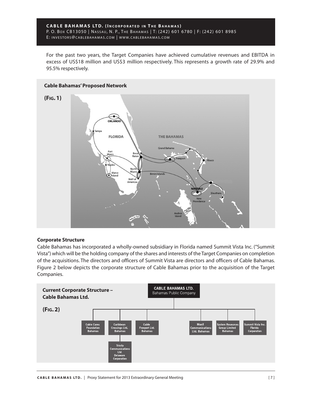#### CABLE BAHAMAS LTD. (INCORPORATED IN THE BAHAMAS) P. O. Box CB13050 | NASSAU, N. P., THE BAHAMAS | T: (242) 601 6780 | F: (242) 601 8985 E: INVESTORS@CABLEBAHAMAS.COM | WWW.CABLEBAHAMAS.COM

For the past two years, the Target Companies have achieved cumulative revenues and EBITDA in excess of US\$18 million and US\$3 million respectively. This represents a growth rate of 29.9% and 95.5% respectively.



# **Corporate Structure**

Cable Bahamas has incorporated a wholly-owned subsidiary in Florida named Summit Vista Inc. ("Summit Vista") which will be the holding company of the shares and interests of the Target Companies on completion of the acquisitions. The directors and officers of Summit Vista are directors and officers of Cable Bahamas. Figure 2 below depicts the corporate structure of Cable Bahamas prior to the acquisition of the Target Companies.

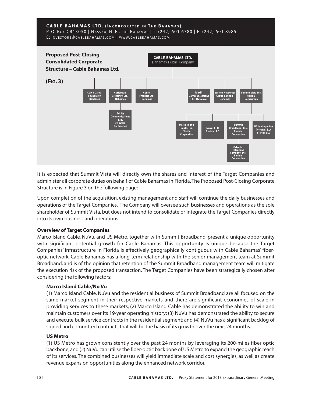

It is expected that Summit Vista will directly own the shares and interest of the Target Companies and administer all corporate duties on behalf of Cable Bahamas in Florida.The Proposed Post-Closing Corporate Structure is in Figure 3 on the following page:

Upon completion of the acquisition, existing management and staff will continue the daily businesses and operations of the Target Companies. The Company will oversee such businesses and operations as the sole shareholder of Summit Vista, but does not intend to consolidate or integrate the Target Companies directly into its own business and operations.

# **Overview of Target Companies**

Marco Island Cable, NuVu, and US Metro, together with Summit Broadband, present a unique opportunity with significant potential growth for Cable Bahamas. This opportunity is unique because the Target Companies' infrastructure in Florida is effectively geographically contiguous with Cable Bahamas' fiberoptic network. Cable Bahamas has a long-term relationship with the senior management team at Summit Broadband, and is of the opinion that retention of the Summit Broadband management team will mitigate the execution risk of the proposed transaction. The Target Companies have been strategically chosen after considering the following factors:

# **Marco Island Cable/Nu Vu**

(1) Marco Island Cable, NuVu and the residential business of Summit Broadband are all focused on the same market segment in their respective markets and there are significant economies of scale in providing services to these markets; (2) Marco Island Cable has demonstrated the ability to win and maintain customers over its 19-year operating history; (3) NuVu has demonstrated the ability to secure and execute bulk service contracts in the residential segment; and (4) NuVu has a significant backlog of signed and committed contracts that will be the basis of its growth over the next 24 months.

# **US Metro**

(1) US Metro has grown consistently over the past 24 months by leveraging its 200-miles fiber optic backbone;and (2) NuVu can utilise the fiber-optic backbone of US Metro to expand the geographic reach of its services. The combined businesses will yield immediate scale and cost synergies, as well as create revenue expansion opportunities along the enhanced network corridor.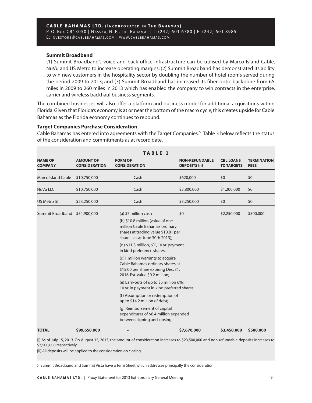#### **Summit Broadband**

(1) Summit Broadband's voice and back-office infrastructure can be utilised by Marco Island Cable, NuVu and US Metro to increase operating margins; (2) Summit Broadband has demonstrated its ability to win new customers in the hospitality sector by doubling the number of hotel rooms served during the period 2009 to 2013; and (3) Summit Broadband has increased its fiber-optic backbone from 65 miles in 2009 to 260 miles in 2013 which has enabled the company to win contracts in the enterprise, carrier and wireless backhaul business segments.

The combined businesses will also offer a platform and business model for additional acquisitions within Florida. Given that Florida's economy is at or near the bottom of the macro cycle, this creates upside for Cable Bahamas as the Florida economy continues to rebound.

#### **Target Companies Purchase Consideration**

Cable Bahamas has entered into agreements with the Target Companies. <sup>5</sup> Table 3 below reflects the status of the consideration and commitments as at record date.

| TABLE 3                          |                                          |                                                                                                                                                                                                                                                 |                                               |                                       |                                   |  |  |  |
|----------------------------------|------------------------------------------|-------------------------------------------------------------------------------------------------------------------------------------------------------------------------------------------------------------------------------------------------|-----------------------------------------------|---------------------------------------|-----------------------------------|--|--|--|
| <b>NAME OF</b><br><b>COMPANY</b> | <b>AMOUNT OF</b><br><b>CONSIDERATION</b> | <b>FORM OF</b><br><b>CONSIDERATION</b>                                                                                                                                                                                                          | <b>NON-REFUNDABLE</b><br><b>DEPOSITS [ii]</b> | <b>CBL LOANS</b><br><b>TO TARGETS</b> | <b>TERMINATION</b><br><b>FEES</b> |  |  |  |
| <b>Marco Island Cable</b>        | \$10,750,000                             | Cash                                                                                                                                                                                                                                            | \$620,000                                     | \$0                                   | \$0                               |  |  |  |
| NuVu LLC                         | \$10,750,000                             | Cash                                                                                                                                                                                                                                            | \$3,800,000                                   | \$1,200,000                           | \$0                               |  |  |  |
| US Metro [i]                     | \$23,250,000                             | Cash                                                                                                                                                                                                                                            | \$3,250,000                                   | \$0                                   | \$0                               |  |  |  |
| Summit Broadband \$54,900,000    |                                          | (a) \$7 million cash<br>(b) \$10.8 million (value of one<br>million Cable Bahamas ordinary<br>shares at trading value \$10.81 per<br>share $-$ as at June 30th 2013);<br>$(c)$ \$11.3 million, 6%, 10 yr. payment<br>in kind preference shares; | \$0                                           | \$2,250,000                           | \$500,000                         |  |  |  |
|                                  |                                          | (d)1 million warrants to acquire<br>Cable Bahamas ordinary shares at<br>\$15.00 per share expiring Dec. 31,<br>2016. Est. value \$0.2 million;                                                                                                  |                                               |                                       |                                   |  |  |  |
|                                  |                                          | (e) Earn-outs of up to \$5 million 6%,<br>10 yr. in payment in kind preferred shares;                                                                                                                                                           |                                               |                                       |                                   |  |  |  |
|                                  |                                          | (f) Assumption or redemption of<br>up to \$14.2 million of debt;                                                                                                                                                                                |                                               |                                       |                                   |  |  |  |
|                                  |                                          | (g) Reimbursement of capital<br>expenditures of \$6.4 million expended<br>between signing and closing.                                                                                                                                          |                                               |                                       |                                   |  |  |  |
| <b>TOTAL</b>                     | \$99,650,000                             |                                                                                                                                                                                                                                                 | \$7,670,000                                   | \$3,450,000                           | \$500,000                         |  |  |  |

[i] As of July 15, 2013. On August 15, 2013, the amount of consideration increases to \$23,500,000 and non-refundable deposits increases to \$3,500,000 respectively.

[ii] All deposits will be applied to the consideration on closing.

5 Summit Broadband and Summit Vista have a Term Sheet which addresses principally the consideration.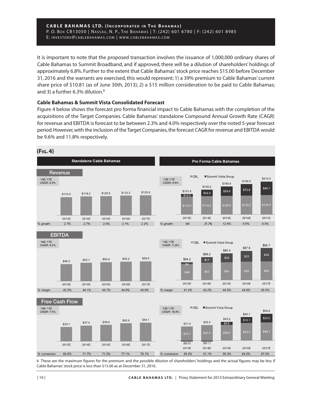**CABLE BAHAMAS LTD. (INCORPORATED IN THE BAHAMAS)** P. O. BOX CB13050 | NAS SAU, N. P., THE BAHAMAS | T: (242) 601 6780 | F: (242) 601 8985 E: INVESTORS@CABLEBAHAMAS.COM | WWW.CABLEBAHAMAS.COM

It is important to note that the proposed transaction involves the issuance of 1,000,000 ordinary shares of Cable Bahamas to Summit Broadband, and if approved, there will be a dilution of shareholders' holdings of approximately 6.8%. Further to the extent that Cable Bahamas'stock price reaches \$15.00 before December 31, 2016 and the warrants are exercised, this would represent: 1) a 39% premium to Cable Bahamas' current share price of \$10.81 (as of June 30th, 2013); 2) a \$15 million consideration to be paid to Cable Bahamas; and 3) a further 6.3% dilution. 6

# **Cable Bahamas & Summit Vista Consolidated Forecast**

Figure 4 below shows the forecast pro forma financial impact to Cable Bahamas with the completion of the acquisitions of the Target Companies. Cable Bahamas'standalone Compound Annual Growth Rate (CAGR) for revenue and EBITDA is forecast to be between 2.3% and 4.0% respectively over the noted 5-year forecast period.However,with the inclusion of the Target Companies,the forecast CAGR for revenue and EBITDA would be 9.6% and 11.8% respectively.



6 These are the maximum figures for the premium and the possible dilution of shareholders' holdings and the actual figures may be less if Cable Bahamas'stock price is less than \$15.00 as at December 31, 2016.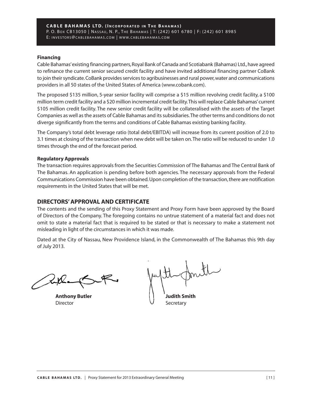### **Financing**

Cable Bahamas' existing financing partners, Royal Bank of Canada and Scotiabank (Bahamas) Ltd., have agreed to refinance the current senior secured credit facility and have invited additional financing partner CoBank to join their syndicate. CoBank provides services to agribusinesses and rural power, water and communications providers in all 50 states of the United States of America (www.cobank.com).

The proposed \$135 million, 5-year senior facility will comprise a \$15 million revolving credit facility, a \$100 million term credit facility and a \$20 million incremental credit facility.This will replace Cable Bahamas'current \$105 million credit facility. The new senior credit facility will be collateralised with the assets of the Target Companies as well asthe assets of Cable Bahamas and itssubsidiaries.The other terms and conditions do not diverge significantly from the terms and conditions of Cable Bahamas existing banking facility.

The Company's total debt leverage ratio (total debt/EBITDA) will increase from its current position of 2.0 to 3.1 times at closing of the transaction when new debt will be taken on.The ratio will be reduced to under 1.0 times through the end of the forecast period.

# **Regulatory Approvals**

The transaction requires approvals from the Securities Commission of The Bahamas and The Central Bank of The Bahamas. An application is pending before both agencies. The necessary approvals from the Federal Communications Commission have been obtained. Upon completion of the transaction, there are notification requirements in the United States that will be met.

# **DIRECTORS'APPROVAL AND CERTIFICATE**

The contents and the sending of this Proxy Statement and Proxy Form have been approved by the Board of Directors of the Company. The foregoing contains no untrue statement of a material fact and does not omit to state a material fact that is required to be stated or that is necessary to make a statement not misleading in light of the circumstances in which it was made.

Dated at the City of Nassau, New Providence Island, in the Commonwealth of The Bahamas this 9th day of July 2013.

**Anthony Butler Judith Smith** Director  $\vee$  Secretary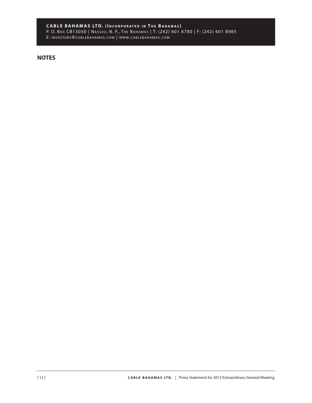#### **CABLE BAHAMAS LTD. (INCORPORATED IN THE BAHAMAS)** P. O. BOX CB13050 | NAS SAU, N. P., THE BAHAMAS | T: (242) 601 6780 | F: (242) 601 8985 E: INVESTORS@CABLEBAHAMAS.COM | WWW.CABLEBAHAMAS.COM

**NOTES**